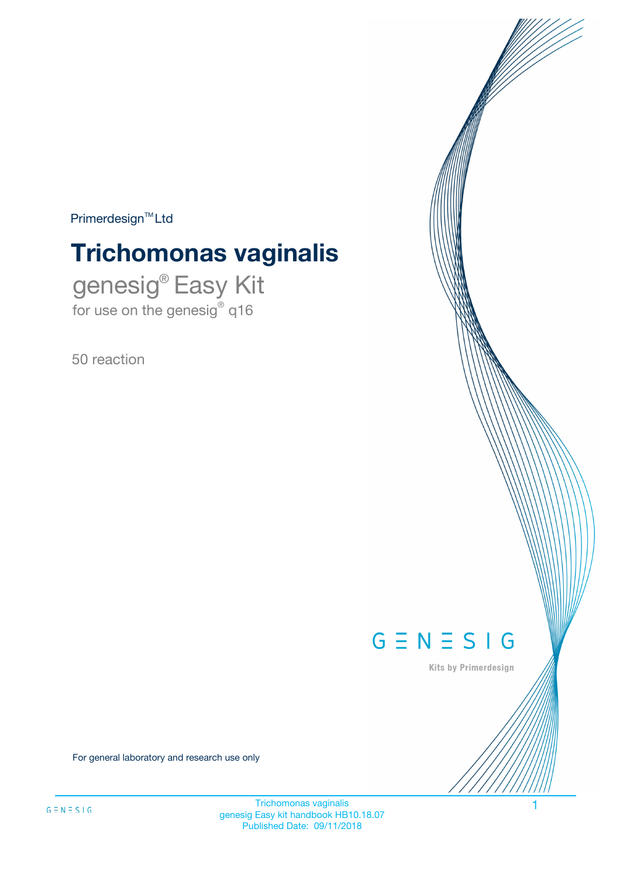$Primerdesign^{\text{TM}}Ltd$ 

# **Trichomonas vaginalis**

genesig® Easy Kit for use on the genesig® q16

50 reaction



Kits by Primerdesign

For general laboratory and research use only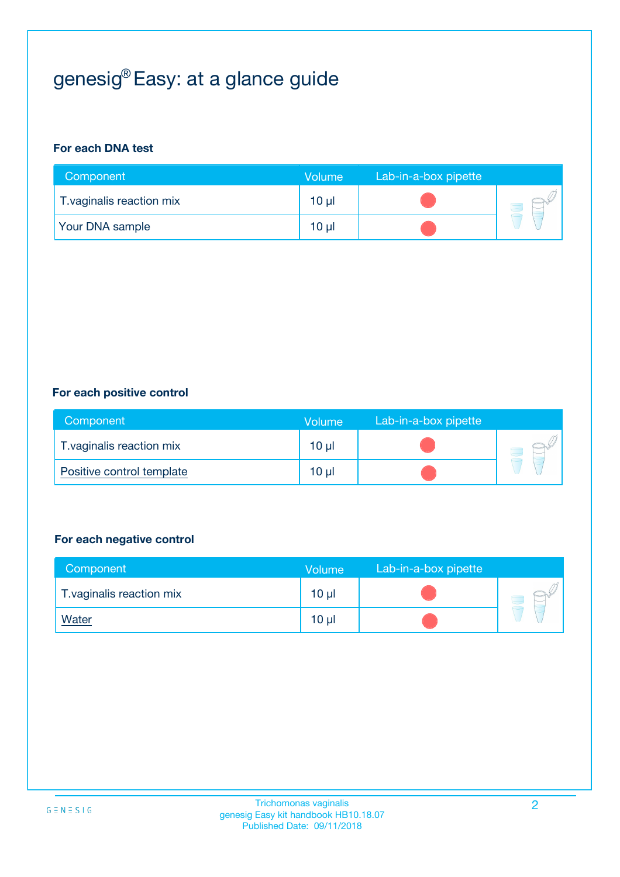## genesig® Easy: at a glance guide

#### **For each DNA test**

| Component                 | <b>Volume</b> | Lab-in-a-box pipette |  |
|---------------------------|---------------|----------------------|--|
| T. vaginalis reaction mix | 10 µl         |                      |  |
| <b>Your DNA sample</b>    | $10 \mu$      |                      |  |

#### **For each positive control**

| Component                 | Volume   | Lab-in-a-box pipette |  |
|---------------------------|----------|----------------------|--|
| T. vaginalis reaction mix | $10 \mu$ |                      |  |
| Positive control template | $10 \mu$ |                      |  |

#### **For each negative control**

| Component                 | <b>Volume</b>   | Lab-in-a-box pipette |  |
|---------------------------|-----------------|----------------------|--|
| T. vaginalis reaction mix | 10 <sub>µ</sub> |                      |  |
| <u>Water</u>              | 10 <sub>µ</sub> |                      |  |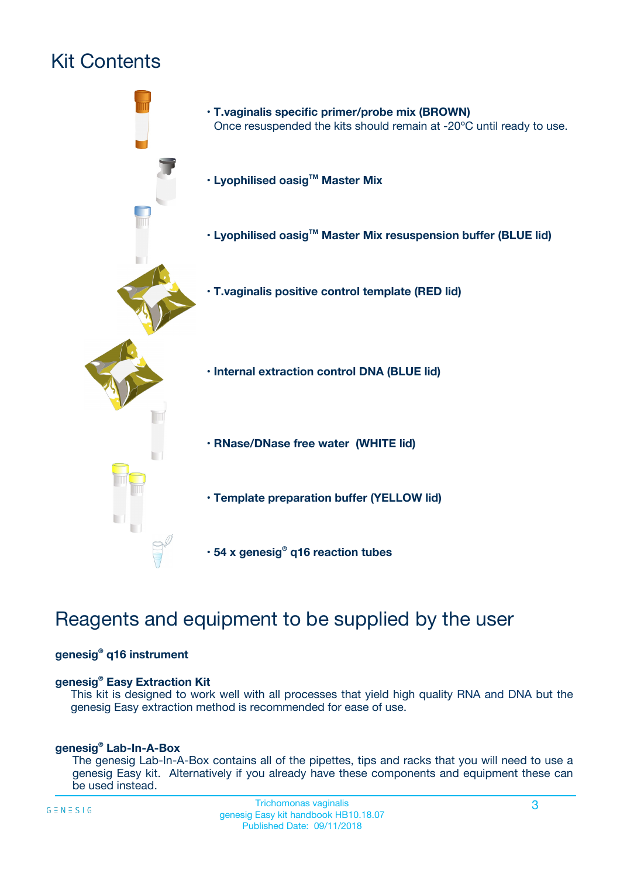## Kit Contents



## Reagents and equipment to be supplied by the user

#### **genesig® q16 instrument**

#### **genesig® Easy Extraction Kit**

This kit is designed to work well with all processes that yield high quality RNA and DNA but the genesig Easy extraction method is recommended for ease of use.

#### **genesig® Lab-In-A-Box**

The genesig Lab-In-A-Box contains all of the pipettes, tips and racks that you will need to use a genesig Easy kit. Alternatively if you already have these components and equipment these can be used instead.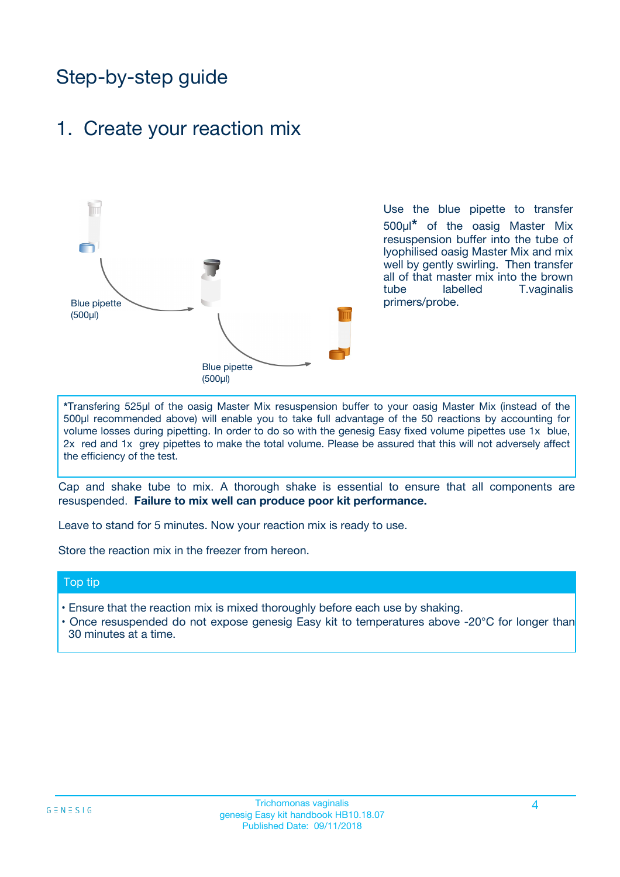## Step-by-step guide

### 1. Create your reaction mix



Use the blue pipette to transfer 500µl**\*** of the oasig Master Mix resuspension buffer into the tube of lyophilised oasig Master Mix and mix well by gently swirling. Then transfer all of that master mix into the brown tube labelled T.vaginalis primers/probe.

**\***Transfering 525µl of the oasig Master Mix resuspension buffer to your oasig Master Mix (instead of the 500µl recommended above) will enable you to take full advantage of the 50 reactions by accounting for volume losses during pipetting. In order to do so with the genesig Easy fixed volume pipettes use 1x blue, 2x red and 1x grey pipettes to make the total volume. Please be assured that this will not adversely affect the efficiency of the test.

Cap and shake tube to mix. A thorough shake is essential to ensure that all components are resuspended. **Failure to mix well can produce poor kit performance.**

Leave to stand for 5 minutes. Now your reaction mix is ready to use.

Store the reaction mix in the freezer from hereon.

#### Top tip

- Ensure that the reaction mix is mixed thoroughly before each use by shaking.
- **•** Once resuspended do not expose genesig Easy kit to temperatures above -20°C for longer than 30 minutes at a time.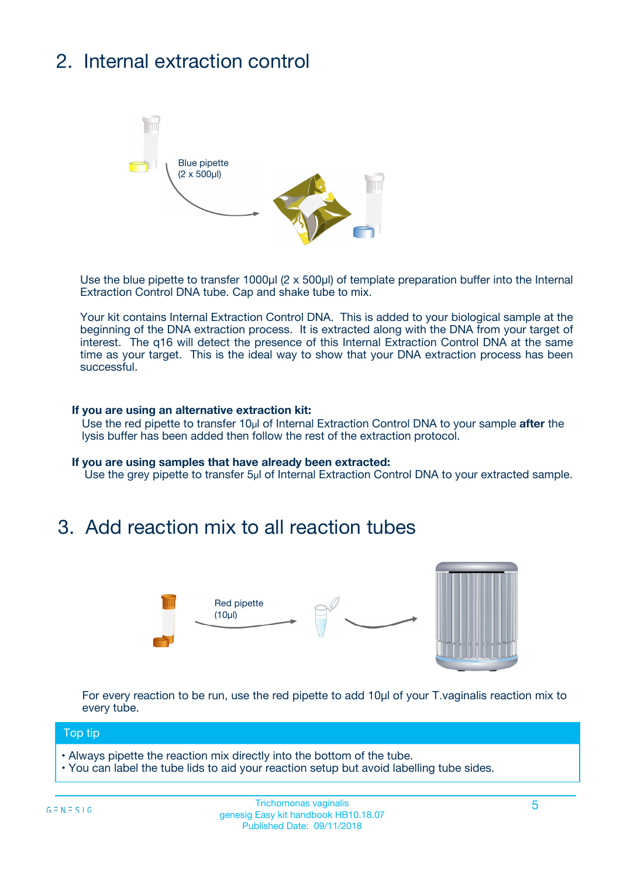## 2. Internal extraction control



Use the blue pipette to transfer 1000µl (2 x 500µl) of template preparation buffer into the Internal Extraction Control DNA tube. Cap and shake tube to mix.

Your kit contains Internal Extraction Control DNA. This is added to your biological sample at the beginning of the DNA extraction process. It is extracted along with the DNA from your target of interest. The q16 will detect the presence of this Internal Extraction Control DNA at the same time as your target. This is the ideal way to show that your DNA extraction process has been **successful.** 

#### **If you are using an alternative extraction kit:**

Use the red pipette to transfer 10µl of Internal Extraction Control DNA to your sample **after** the lysis buffer has been added then follow the rest of the extraction protocol.

#### **If you are using samples that have already been extracted:**

Use the grey pipette to transfer 5µl of Internal Extraction Control DNA to your extracted sample.

### 3. Add reaction mix to all reaction tubes



For every reaction to be run, use the red pipette to add 10µl of your T.vaginalis reaction mix to every tube.

#### Top tip

- Always pipette the reaction mix directly into the bottom of the tube.
- You can label the tube lids to aid your reaction setup but avoid labelling tube sides.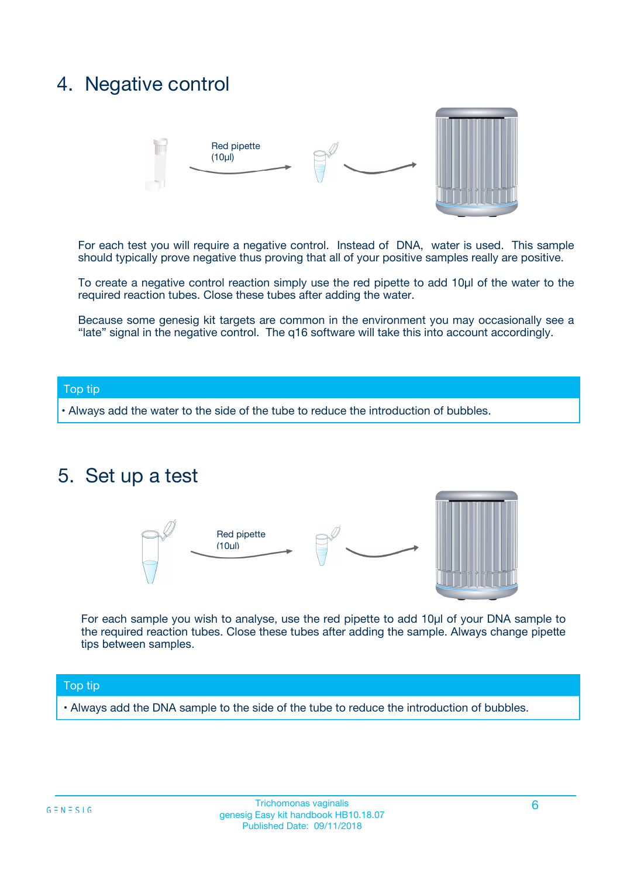### 4. Negative control



For each test you will require a negative control. Instead of DNA, water is used. This sample should typically prove negative thus proving that all of your positive samples really are positive.

To create a negative control reaction simply use the red pipette to add 10µl of the water to the required reaction tubes. Close these tubes after adding the water.

Because some genesig kit targets are common in the environment you may occasionally see a "late" signal in the negative control. The q16 software will take this into account accordingly.

#### Top tip

**•** Always add the water to the side of the tube to reduce the introduction of bubbles.

### 5. Set up a test



For each sample you wish to analyse, use the red pipette to add 10µl of your DNA sample to the required reaction tubes. Close these tubes after adding the sample. Always change pipette tips between samples.

#### Top tip

**•** Always add the DNA sample to the side of the tube to reduce the introduction of bubbles.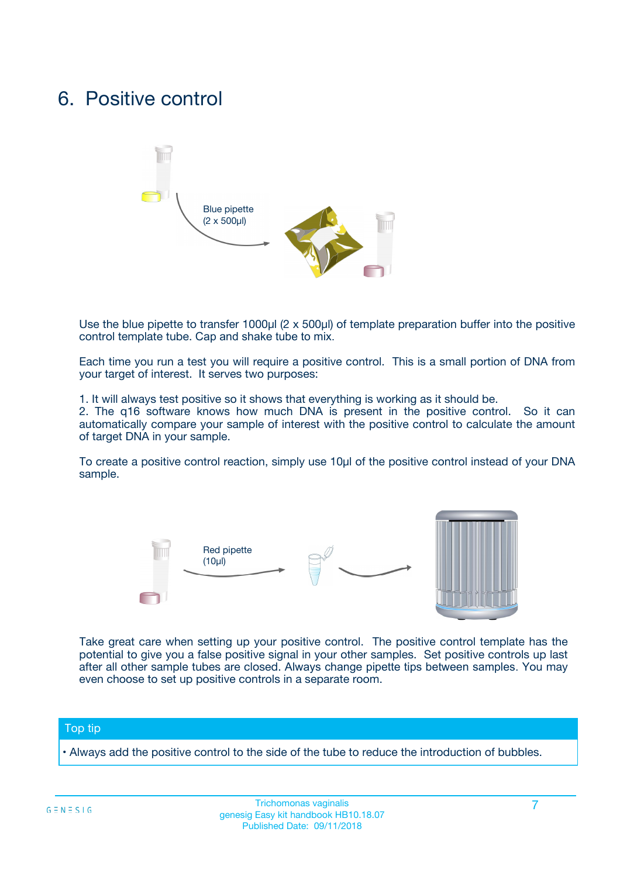### 6. Positive control



Use the blue pipette to transfer 1000µl (2 x 500µl) of template preparation buffer into the positive control template tube. Cap and shake tube to mix.

Each time you run a test you will require a positive control. This is a small portion of DNA from your target of interest. It serves two purposes:

1. It will always test positive so it shows that everything is working as it should be.

2. The q16 software knows how much DNA is present in the positive control. So it can automatically compare your sample of interest with the positive control to calculate the amount of target DNA in your sample.

To create a positive control reaction, simply use 10µl of the positive control instead of your DNA sample.



Take great care when setting up your positive control. The positive control template has the potential to give you a false positive signal in your other samples. Set positive controls up last after all other sample tubes are closed. Always change pipette tips between samples. You may even choose to set up positive controls in a separate room.

#### Top tip

**•** Always add the positive control to the side of the tube to reduce the introduction of bubbles.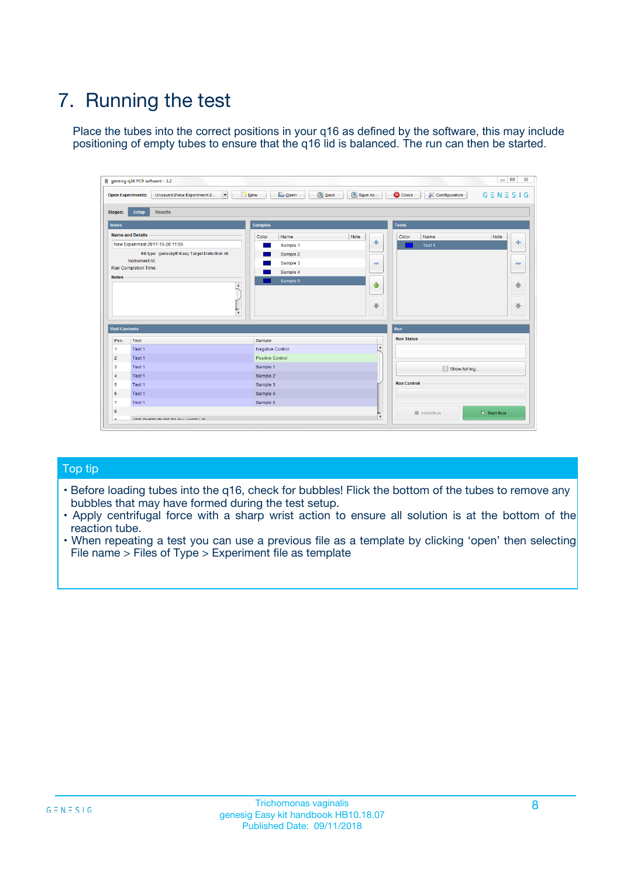## 7. Running the test

Place the tubes into the correct positions in your q16 as defined by the software, this may include positioning of empty tubes to ensure that the q16 lid is balanced. The run can then be started.

| qenesig q16 PCR software - 1.2                                               |                                   | $\Box$                                                                                          |
|------------------------------------------------------------------------------|-----------------------------------|-------------------------------------------------------------------------------------------------|
| $\vert \cdot \vert$<br>Unsaved (New Experiment 2<br><b>Open Experiments:</b> | <b>D</b> Open<br>R <sub>New</sub> | Save<br>Save As<br><b>C</b> Close<br><b>&amp; Configuration</b><br>$G \equiv N \equiv S \mid G$ |
| <b>Setup</b><br><b>Results</b><br>Stages:                                    |                                   |                                                                                                 |
| <b>Notes</b>                                                                 | <b>Samples</b>                    | <b>Tests</b>                                                                                    |
| <b>Name and Details</b>                                                      | Name<br>Color                     | Note<br>Color<br>Note<br>Name                                                                   |
| New Experiment 2017-10-26 11:06                                              | Sample 1                          | ÷<br>条<br>Test 1                                                                                |
| Kit type: genesig® Easy Target Detection kit                                 | Sample 2                          |                                                                                                 |
| Instrument Id.:                                                              | Sample 3                          | $\qquad \qquad \blacksquare$<br>$\qquad \qquad \blacksquare$                                    |
| <b>Run Completion Time:</b>                                                  | Sample 4                          |                                                                                                 |
| <b>Notes</b><br><b>A</b><br>$\overline{\mathbf v}$                           | Sample 5                          | ♦<br>4<br>÷<br>₩                                                                                |
| <b>Well Contents</b>                                                         |                                   | <b>Run</b>                                                                                      |
| Pos.<br>Test                                                                 | Sample                            | <b>Run Status</b>                                                                               |
| Test 1<br>$\blacktriangleleft$                                               | Negative Control                  | $\blacktriangle$                                                                                |
| $\overline{2}$<br>Test 1                                                     | <b>Positive Control</b>           |                                                                                                 |
| $\overline{\mathbf{3}}$<br>Test 1                                            | Sample 1                          | Show full log                                                                                   |
| Test 1<br>4                                                                  | Sample 2                          |                                                                                                 |
| 5<br>Test 1                                                                  | Sample 3                          | <b>Run Control</b>                                                                              |
| Test 1<br>6                                                                  | Sample 4                          |                                                                                                 |
| $\overline{7}$<br>Test 1                                                     | Sample 5                          |                                                                                                 |
| 8                                                                            |                                   | $\triangleright$ Start Run<br>Abort Run                                                         |
| <b>JOD FURTY TUDE TO BUILDED IN</b>                                          |                                   | $\overline{\mathbf{v}}$                                                                         |

#### Top tip

- Before loading tubes into the q16, check for bubbles! Flick the bottom of the tubes to remove any bubbles that may have formed during the test setup.
- Apply centrifugal force with a sharp wrist action to ensure all solution is at the bottom of the reaction tube.
- When repeating a test you can use a previous file as a template by clicking 'open' then selecting File name > Files of Type > Experiment file as template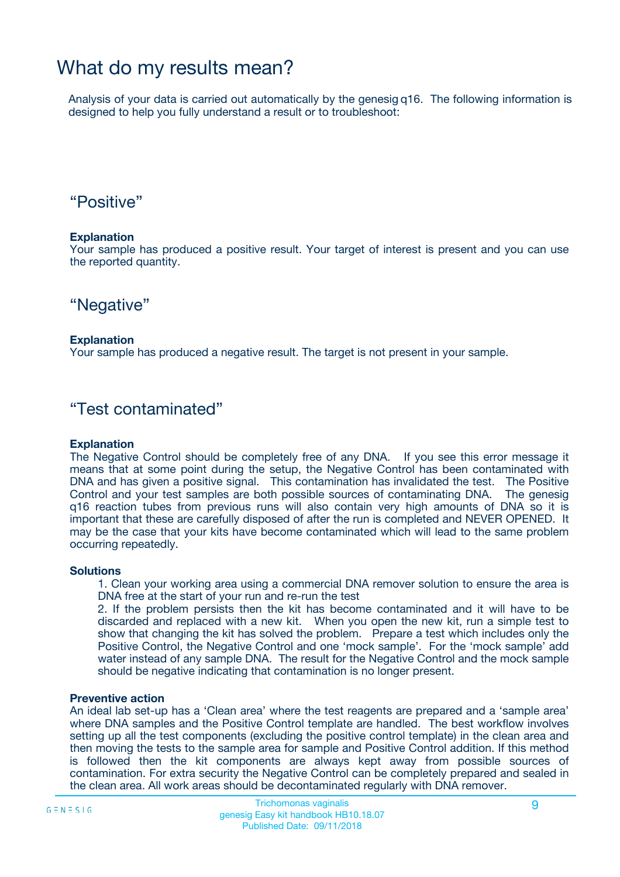### What do my results mean?

Analysis of your data is carried out automatically by the genesig q16. The following information is designed to help you fully understand a result or to troubleshoot:

### "Positive"

#### **Explanation**

Your sample has produced a positive result. Your target of interest is present and you can use the reported quantity.

"Negative"

#### **Explanation**

Your sample has produced a negative result. The target is not present in your sample.

### "Test contaminated"

#### **Explanation**

The Negative Control should be completely free of any DNA. If you see this error message it means that at some point during the setup, the Negative Control has been contaminated with DNA and has given a positive signal. This contamination has invalidated the test. The Positive Control and your test samples are both possible sources of contaminating DNA. The genesig q16 reaction tubes from previous runs will also contain very high amounts of DNA so it is important that these are carefully disposed of after the run is completed and NEVER OPENED. It may be the case that your kits have become contaminated which will lead to the same problem occurring repeatedly.

#### **Solutions**

1. Clean your working area using a commercial DNA remover solution to ensure the area is DNA free at the start of your run and re-run the test

2. If the problem persists then the kit has become contaminated and it will have to be discarded and replaced with a new kit. When you open the new kit, run a simple test to show that changing the kit has solved the problem. Prepare a test which includes only the Positive Control, the Negative Control and one 'mock sample'. For the 'mock sample' add water instead of any sample DNA. The result for the Negative Control and the mock sample should be negative indicating that contamination is no longer present.

#### **Preventive action**

An ideal lab set-up has a 'Clean area' where the test reagents are prepared and a 'sample area' where DNA samples and the Positive Control template are handled. The best workflow involves setting up all the test components (excluding the positive control template) in the clean area and then moving the tests to the sample area for sample and Positive Control addition. If this method is followed then the kit components are always kept away from possible sources of contamination. For extra security the Negative Control can be completely prepared and sealed in the clean area. All work areas should be decontaminated regularly with DNA remover.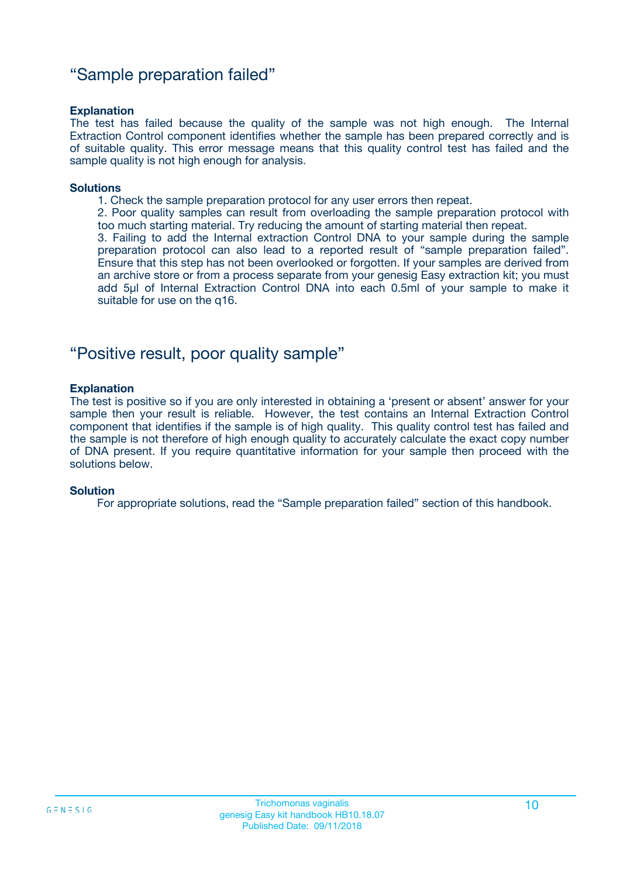### "Sample preparation failed"

#### **Explanation**

The test has failed because the quality of the sample was not high enough. The Internal Extraction Control component identifies whether the sample has been prepared correctly and is of suitable quality. This error message means that this quality control test has failed and the sample quality is not high enough for analysis.

#### **Solutions**

1. Check the sample preparation protocol for any user errors then repeat.

2. Poor quality samples can result from overloading the sample preparation protocol with too much starting material. Try reducing the amount of starting material then repeat.

3. Failing to add the Internal extraction Control DNA to your sample during the sample preparation protocol can also lead to a reported result of "sample preparation failed". Ensure that this step has not been overlooked or forgotten. If your samples are derived from an archive store or from a process separate from your genesig Easy extraction kit; you must add 5µl of Internal Extraction Control DNA into each 0.5ml of your sample to make it suitable for use on the q16.

### "Positive result, poor quality sample"

#### **Explanation**

The test is positive so if you are only interested in obtaining a 'present or absent' answer for your sample then your result is reliable. However, the test contains an Internal Extraction Control component that identifies if the sample is of high quality. This quality control test has failed and the sample is not therefore of high enough quality to accurately calculate the exact copy number of DNA present. If you require quantitative information for your sample then proceed with the solutions below.

#### **Solution**

For appropriate solutions, read the "Sample preparation failed" section of this handbook.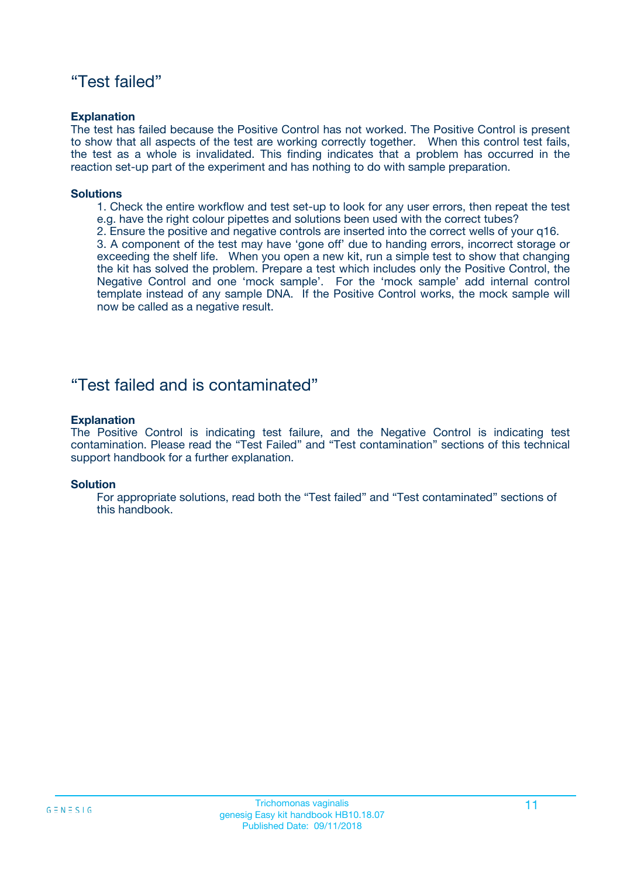### "Test failed"

#### **Explanation**

The test has failed because the Positive Control has not worked. The Positive Control is present to show that all aspects of the test are working correctly together. When this control test fails, the test as a whole is invalidated. This finding indicates that a problem has occurred in the reaction set-up part of the experiment and has nothing to do with sample preparation.

#### **Solutions**

- 1. Check the entire workflow and test set-up to look for any user errors, then repeat the test e.g. have the right colour pipettes and solutions been used with the correct tubes?
- 2. Ensure the positive and negative controls are inserted into the correct wells of your q16.

3. A component of the test may have 'gone off' due to handing errors, incorrect storage or exceeding the shelf life. When you open a new kit, run a simple test to show that changing the kit has solved the problem. Prepare a test which includes only the Positive Control, the Negative Control and one 'mock sample'. For the 'mock sample' add internal control template instead of any sample DNA. If the Positive Control works, the mock sample will now be called as a negative result.

### "Test failed and is contaminated"

#### **Explanation**

The Positive Control is indicating test failure, and the Negative Control is indicating test contamination. Please read the "Test Failed" and "Test contamination" sections of this technical support handbook for a further explanation.

#### **Solution**

For appropriate solutions, read both the "Test failed" and "Test contaminated" sections of this handbook.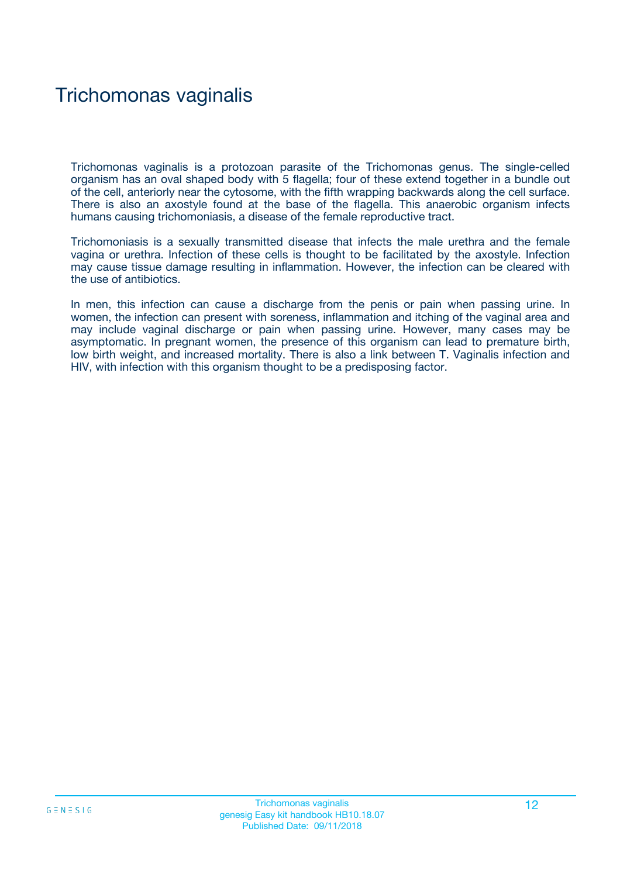## Trichomonas vaginalis

Trichomonas vaginalis is a protozoan parasite of the Trichomonas genus. The single-celled organism has an oval shaped body with 5 flagella; four of these extend together in a bundle out of the cell, anteriorly near the cytosome, with the fifth wrapping backwards along the cell surface. There is also an axostyle found at the base of the flagella. This anaerobic organism infects humans causing trichomoniasis, a disease of the female reproductive tract.

Trichomoniasis is a sexually transmitted disease that infects the male urethra and the female vagina or urethra. Infection of these cells is thought to be facilitated by the axostyle. Infection may cause tissue damage resulting in inflammation. However, the infection can be cleared with the use of antibiotics.

In men, this infection can cause a discharge from the penis or pain when passing urine. In women, the infection can present with soreness, inflammation and itching of the vaginal area and may include vaginal discharge or pain when passing urine. However, many cases may be asymptomatic. In pregnant women, the presence of this organism can lead to premature birth, low birth weight, and increased mortality. There is also a link between T. Vaginalis infection and HIV, with infection with this organism thought to be a predisposing factor.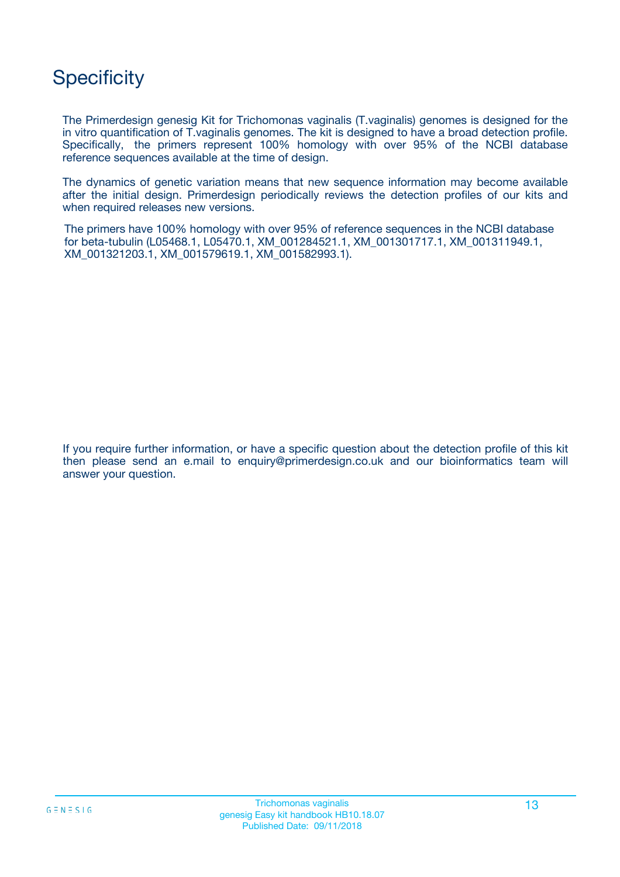## **Specificity**

The Primerdesign genesig Kit for Trichomonas vaginalis (T.vaginalis) genomes is designed for the in vitro quantification of T.vaginalis genomes. The kit is designed to have a broad detection profile. Specifically, the primers represent 100% homology with over 95% of the NCBI database reference sequences available at the time of design.

The dynamics of genetic variation means that new sequence information may become available after the initial design. Primerdesign periodically reviews the detection profiles of our kits and when required releases new versions.

The primers have 100% homology with over 95% of reference sequences in the NCBI database for beta-tubulin (L05468.1, L05470.1, XM\_001284521.1, XM\_001301717.1, XM\_001311949.1, XM\_001321203.1, XM\_001579619.1, XM\_001582993.1).

If you require further information, or have a specific question about the detection profile of this kit then please send an e.mail to enquiry@primerdesign.co.uk and our bioinformatics team will answer your question.